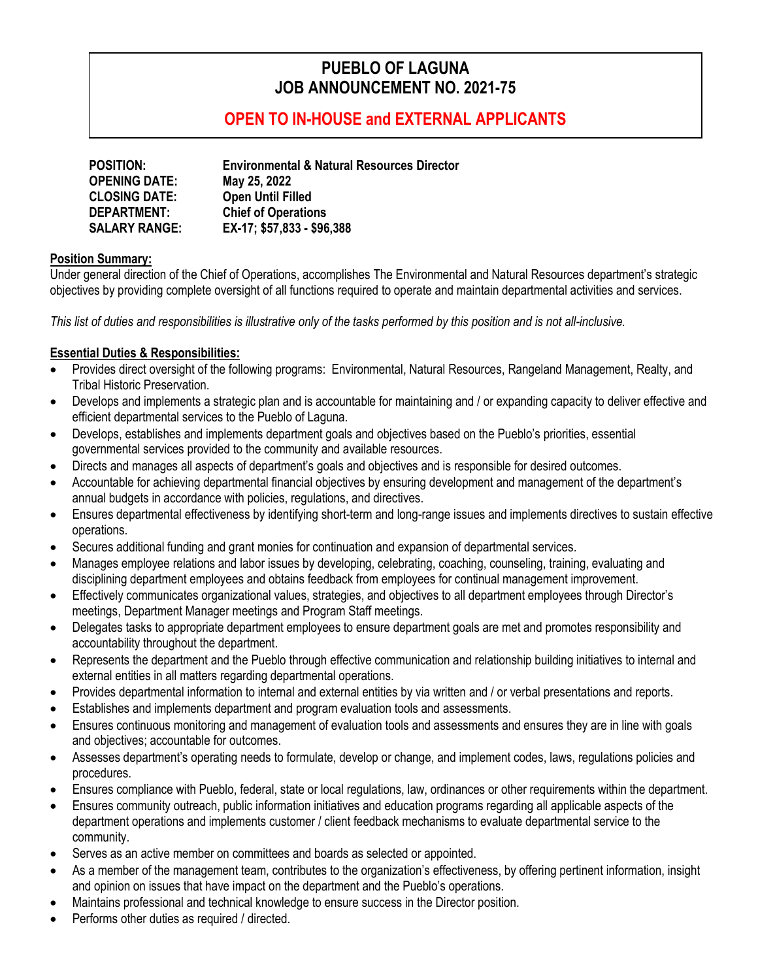# **PUEBLO OF LAGUNA JOB ANNOUNCEMENT NO. 2021-75**

# **OPEN TO IN-HOUSE and EXTERNAL APPLICANTS**

| <b>POSITION:</b>     | <b>Environmental &amp; Natural Resources Director</b> |
|----------------------|-------------------------------------------------------|
| <b>OPENING DATE:</b> | May 25, 2022                                          |
| <b>CLOSING DATE:</b> | <b>Open Until Filled</b>                              |
| <b>DEPARTMENT:</b>   | <b>Chief of Operations</b>                            |
| <b>SALARY RANGE:</b> | EX-17; \$57,833 - \$96,388                            |

#### **Position Summary:**

Under general direction of the Chief of Operations, accomplishes The Environmental and Natural Resources department's strategic objectives by providing complete oversight of all functions required to operate and maintain departmental activities and services.

*This list of duties and responsibilities is illustrative only of the tasks performed by this position and is not all-inclusive.*

### **Essential Duties & Responsibilities:**

- Provides direct oversight of the following programs: Environmental, Natural Resources, Rangeland Management, Realty, and Tribal Historic Preservation.
- Develops and implements a strategic plan and is accountable for maintaining and / or expanding capacity to deliver effective and efficient departmental services to the Pueblo of Laguna.
- Develops, establishes and implements department goals and objectives based on the Pueblo's priorities, essential governmental services provided to the community and available resources.
- Directs and manages all aspects of department's goals and objectives and is responsible for desired outcomes.
- Accountable for achieving departmental financial objectives by ensuring development and management of the department's annual budgets in accordance with policies, regulations, and directives.
- Ensures departmental effectiveness by identifying short-term and long-range issues and implements directives to sustain effective operations.
- Secures additional funding and grant monies for continuation and expansion of departmental services.
- Manages employee relations and labor issues by developing, celebrating, coaching, counseling, training, evaluating and disciplining department employees and obtains feedback from employees for continual management improvement.
- Effectively communicates organizational values, strategies, and objectives to all department employees through Director's meetings, Department Manager meetings and Program Staff meetings.
- Delegates tasks to appropriate department employees to ensure department goals are met and promotes responsibility and accountability throughout the department.
- Represents the department and the Pueblo through effective communication and relationship building initiatives to internal and external entities in all matters regarding departmental operations.
- Provides departmental information to internal and external entities by via written and / or verbal presentations and reports.
- Establishes and implements department and program evaluation tools and assessments.
- Ensures continuous monitoring and management of evaluation tools and assessments and ensures they are in line with goals and objectives; accountable for outcomes.
- Assesses department's operating needs to formulate, develop or change, and implement codes, laws, regulations policies and procedures.
- Ensures compliance with Pueblo, federal, state or local regulations, law, ordinances or other requirements within the department.
- Ensures community outreach, public information initiatives and education programs regarding all applicable aspects of the department operations and implements customer / client feedback mechanisms to evaluate departmental service to the community.
- Serves as an active member on committees and boards as selected or appointed.
- As a member of the management team, contributes to the organization's effectiveness, by offering pertinent information, insight and opinion on issues that have impact on the department and the Pueblo's operations.
- Maintains professional and technical knowledge to ensure success in the Director position.
- Performs other duties as required / directed.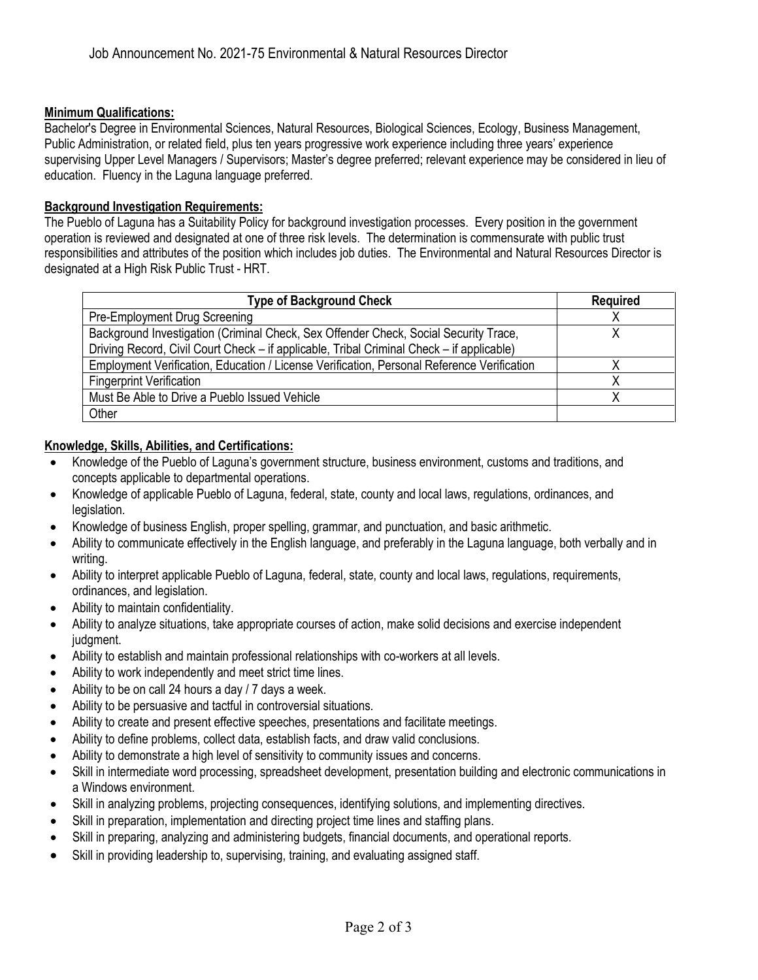#### **Minimum Qualifications:**

Bachelor's Degree in Environmental Sciences, Natural Resources, Biological Sciences, Ecology, Business Management, Public Administration, or related field, plus ten years progressive work experience including three years' experience supervising Upper Level Managers / Supervisors; Master's degree preferred; relevant experience may be considered in lieu of education. Fluency in the Laguna language preferred.

#### **Background Investigation Requirements:**

The Pueblo of Laguna has a Suitability Policy for background investigation processes. Every position in the government operation is reviewed and designated at one of three risk levels. The determination is commensurate with public trust responsibilities and attributes of the position which includes job duties. The Environmental and Natural Resources Director is designated at a High Risk Public Trust - HRT.

| <b>Type of Background Check</b>                                                            | <b>Required</b> |
|--------------------------------------------------------------------------------------------|-----------------|
| Pre-Employment Drug Screening                                                              |                 |
| Background Investigation (Criminal Check, Sex Offender Check, Social Security Trace,       |                 |
| Driving Record, Civil Court Check – if applicable, Tribal Criminal Check – if applicable)  |                 |
| Employment Verification, Education / License Verification, Personal Reference Verification |                 |
| <b>Fingerprint Verification</b>                                                            |                 |
| Must Be Able to Drive a Pueblo Issued Vehicle                                              |                 |
| Other                                                                                      |                 |

### **Knowledge, Skills, Abilities, and Certifications:**

- Knowledge of the Pueblo of Laguna's government structure, business environment, customs and traditions, and concepts applicable to departmental operations.
- Knowledge of applicable Pueblo of Laguna, federal, state, county and local laws, regulations, ordinances, and legislation.
- Knowledge of business English, proper spelling, grammar, and punctuation, and basic arithmetic.
- Ability to communicate effectively in the English language, and preferably in the Laguna language, both verbally and in writing.
- Ability to interpret applicable Pueblo of Laguna, federal, state, county and local laws, regulations, requirements, ordinances, and legislation.
- Ability to maintain confidentiality.
- Ability to analyze situations, take appropriate courses of action, make solid decisions and exercise independent judgment.
- Ability to establish and maintain professional relationships with co-workers at all levels.
- Ability to work independently and meet strict time lines.
- Ability to be on call 24 hours a day / 7 days a week.
- Ability to be persuasive and tactful in controversial situations.
- Ability to create and present effective speeches, presentations and facilitate meetings.
- Ability to define problems, collect data, establish facts, and draw valid conclusions.
- Ability to demonstrate a high level of sensitivity to community issues and concerns.
- Skill in intermediate word processing, spreadsheet development, presentation building and electronic communications in a Windows environment.
- Skill in analyzing problems, projecting consequences, identifying solutions, and implementing directives.
- Skill in preparation, implementation and directing project time lines and staffing plans.
- Skill in preparing, analyzing and administering budgets, financial documents, and operational reports.
- Skill in providing leadership to, supervising, training, and evaluating assigned staff.